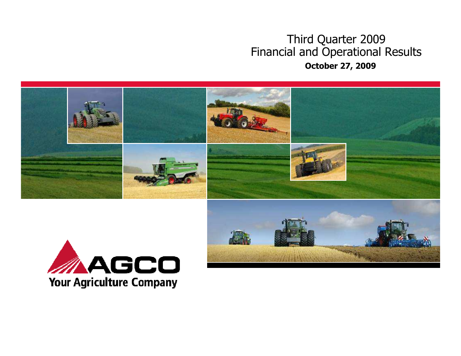### Third Quarter 2009 Financial and Operational ResultsOctober 27, 2009



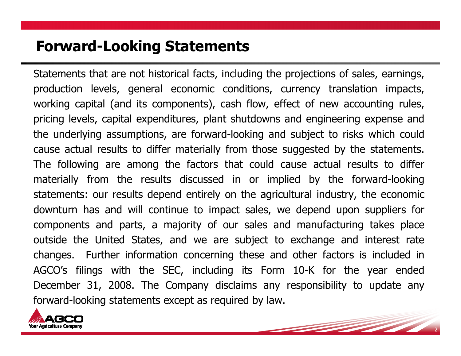### Forward-Looking Statements

Statements that are not historical facts, including the projections of sales, earnings, production levels, general economic conditions, currency translation impacts, working capital (and its components), cash flow, effect of new accounting rules, pricing levels, capital expenditures, plant shutdowns and engineering expense and the underlying assumptions, are forward-looking and subject to risks which could cause actual results to differ materially from those suggested by the statements. The following are among the factors that could cause actual results to differ materially from the results discussed in or implied by the forward-looking statements: our results depend entirely on the agricultural industry, the economic downturn has and will continue to impact sales, we depend upon suppliers for components and parts, a majority of our sales and manufacturing takes place outside the United States, and we are subject to exchange and interest rate changes. Further information concerning these and other factors is included in AGCO's filings with the SEC, including its Form 10-K for the year ended December 31, 2008. The Company disclaims any responsibility to update any forward-looking statements except as required by law.

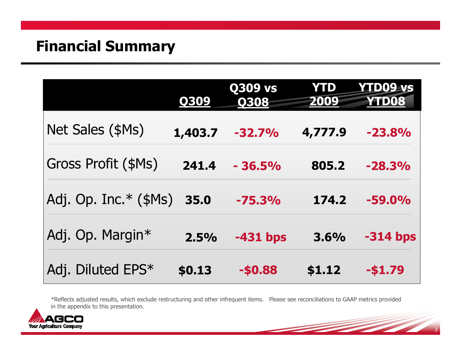## Financial Summary

|                            | Q309    | <b>Q309 vs</b><br><b>Q308</b> | <b>YTD</b><br>2009 | <b>YTD09-vs</b><br><b>YTD08</b> |
|----------------------------|---------|-------------------------------|--------------------|---------------------------------|
| Net Sales (\$Ms)           | 1,403.7 | $-32.7%$                      | 4,777.9            | $-23.8%$                        |
| <b>Gross Profit (\$Ms)</b> | 241.4   | $-36.5%$                      | 805.2              | $-28.3%$                        |
| Adj. Op. Inc. $*(\$Ms)$    | 35.0    | $-75.3%$                      | 174.2              | $-59.0%$                        |
| Adj. Op. Margin*           | 2.5%    | $-431$ bps                    | 3.6%               | $-314$ bps                      |
| Adj. Diluted EPS*          | \$0.13  | -\$0.88                       | \$1.12             | $-51.79$                        |

\*Reflects adjusted results, which exclude restructuring and other infrequent items. Please see reconciliations to GAAP metrics provided in the appendix to this presentation.

3

and the state of the contract of the contract of

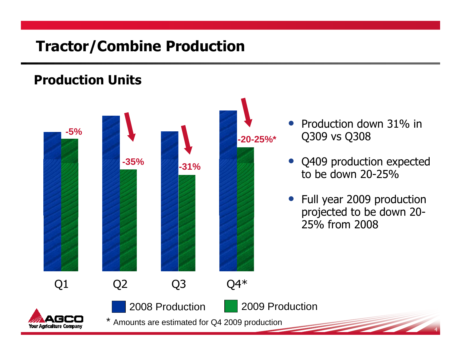## Tractor/Combine Production

### Production Units



- Production down 31% in Q309 vs Q308
- Q409 production expected to be down 20-25%
- Full year 2009 production projected to be down 20-25% from 2008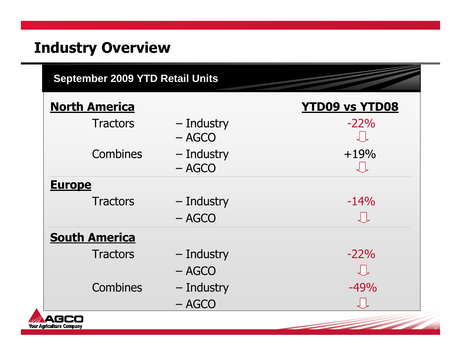# Industry Overview

**Your Agriculture Company** 

| <b>September 2009 YTD Retail Units</b> |                        |                       |  |  |
|----------------------------------------|------------------------|-----------------------|--|--|
| <b>North America</b>                   |                        | <b>YTD09 vs YTD08</b> |  |  |
| <b>Tractors</b>                        | - Industry<br>$-$ AGCO | $-22%$                |  |  |
| Combines                               | - Industry<br>$-$ AGCO | $+19%$                |  |  |
| <b>Europe</b>                          |                        |                       |  |  |
| <b>Tractors</b>                        | - Industry             | $-14%$                |  |  |
|                                        | $-$ AGCO               | しし                    |  |  |
| <b>South America</b>                   |                        |                       |  |  |
| <b>Tractors</b>                        | - Industry             | $-22%$                |  |  |
|                                        | $-$ AGCO               |                       |  |  |
| <b>Combines</b>                        | - Industry             | $-49%$                |  |  |
|                                        | $- AGCO$               | JĻ                    |  |  |
| <b>Agriculture Company</b>             |                        |                       |  |  |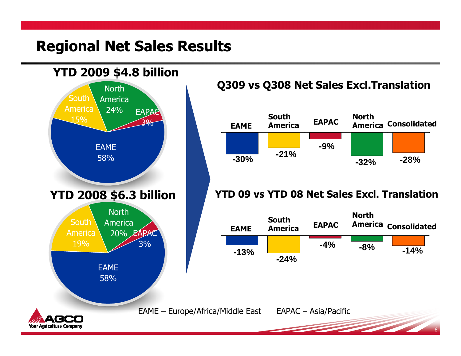### Regional Net Sales Results



**Your Agriculture Company** 

### Q309 vs Q308 Net Sales Excl.Translation



#### YTD 09 vs YTD 08 Net Sales Excl. Translation

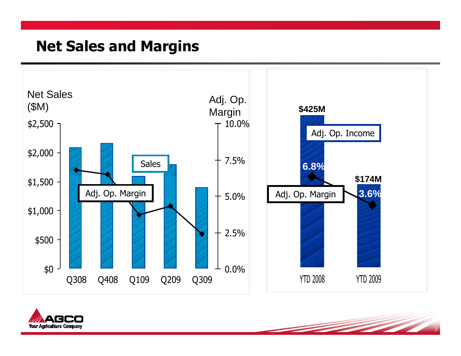### Net Sales and Margins



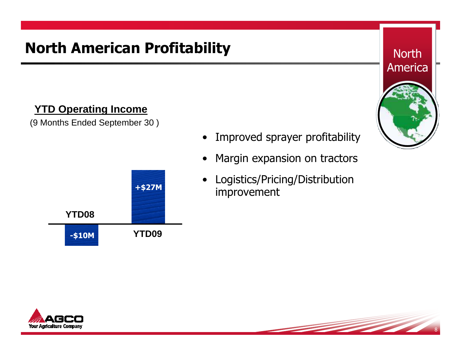# North American Profitability

### **YTD Operating Income**

(9 Months Ended September 30 )



- Improved sprayer profitability
- •Margin expansion on tractors
- Logistics/Pricing/Distribution improvement





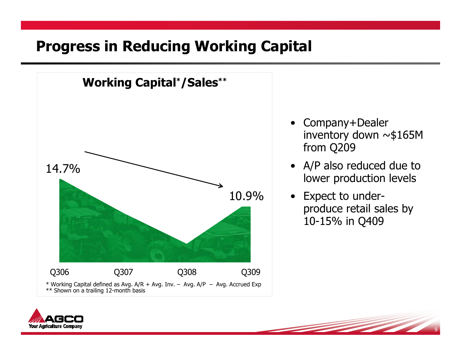## Progress in Reducing Working Capital



- Company+Dealer<br>• inventory down inventory down ~\$165M from Q209
- A/P also reduced due to lower production levels
- Expect to under<br>Droduce retail sa produce retail sales by 10-15% in Q409

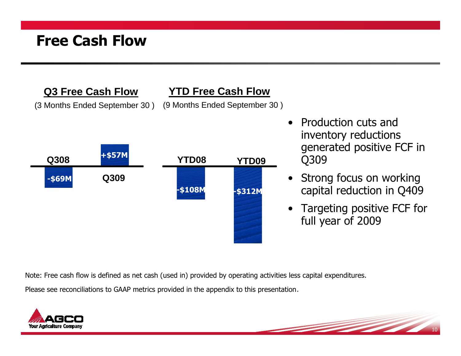## Free Cash Flow

**Q3 Free Cash Flow**

(3 Months Ended September 30 )

### **YTD Free Cash Flow**

(9 Months Ended September 30 )



- Production cuts and Production cuts and inventory reductions generated positive FCF in Q309
- • Strong focus on working capital reduction in Q409
- Targeting positive FCF for full year of 2009

Note: Free cash flow is defined as net cash (used in) provided by operating activities less capital expenditures.

Please see reconciliations to GAAP metrics provided in the appendix to this presentation.

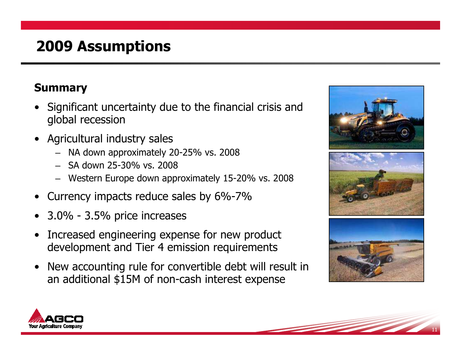## 2009 Assumptions

### Summary

- Significant uncertainty due to the financial crisis and<br>colobal recession global recession
- • Agricultural industry sales –
	- NA down approximately 20-25% vs. 2008
	- SA down 25-30% vs. 2008
	- Western Europe down approximately 15-20% vs. 2008
- •Currency impacts reduce sales by 6%-7%
- 3.0% 3.5% price increases
- • Increased engineering expense for new product development and Tier 4 emission requirements
- • New accounting rule for convertible debt will result in an additional \$15M of non-cash interest expense



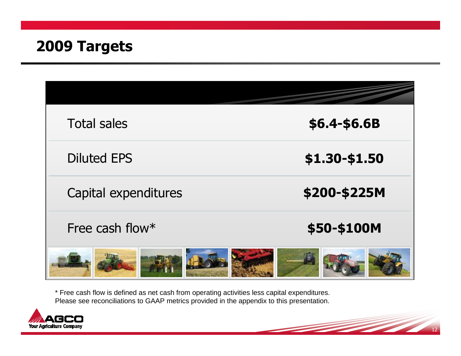### 2009 Targets

| <b>Total sales</b>   | \$6.4-\$6.6B  |
|----------------------|---------------|
| <b>Diluted EPS</b>   | \$1.30-\$1.50 |
| Capital expenditures | \$200-\$225M  |
| Free cash flow*      | \$50-\$100M   |
|                      |               |

 $-12$ 

\* Free cash flow is defined as net cash from operating activities less capital expenditures. Please see reconciliations to GAAP metrics provided in the appendix to this presentation.

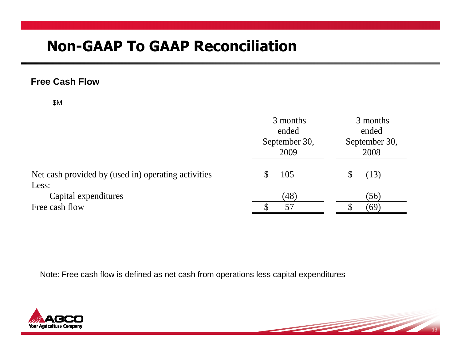#### **Free Cash Flow**

\$M

|                                                     | 3 months<br>ended<br>September 30,<br>2009 | 3 months<br>ended<br>September 30,<br>2008 |
|-----------------------------------------------------|--------------------------------------------|--------------------------------------------|
| Net cash provided by (used in) operating activities | 105<br>\$                                  | (13)                                       |
| Less:                                               |                                            |                                            |
| Capital expenditures                                | (48)                                       | (56)                                       |
| Free cash flow                                      | 57                                         | (69)                                       |

 $-13$ 

<u> Santa Carlos de Carlos de Santa Carlos de Carlos de Santa Carlos de Santa Carlos de Santa Carlos de Santa Ca</u>

Note: Free cash flow is defined as net cash from operations less capital expenditures

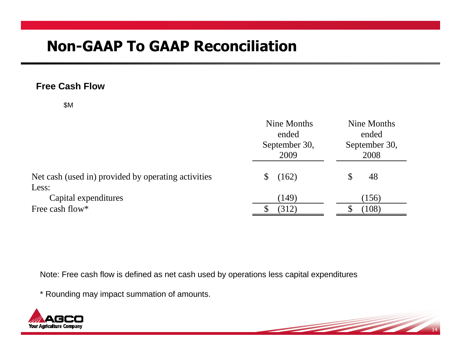#### **Free Cash Flow**

\$M

|                                                     | Nine Months<br>ended<br>September 30,<br>2009 | Nine Months<br>ended<br>September 30,<br>2008 |  |
|-----------------------------------------------------|-----------------------------------------------|-----------------------------------------------|--|
| Net cash (used in) provided by operating activities | (162)<br>\$                                   | 48                                            |  |
| Less:                                               |                                               |                                               |  |
| Capital expenditures                                | (149)                                         | (156)                                         |  |
| Free cash flow*                                     | (312)                                         | (108)                                         |  |

Note: Free cash flow is defined as net cash used by operations less capital expenditures

14

<u> Santa Carlos de Carlos de Carlos de Carlos de Carlos de Carlos de Carlos de Carlos de Carlos de Carlos de Ca</u>

\* Rounding may impact summation of amounts.

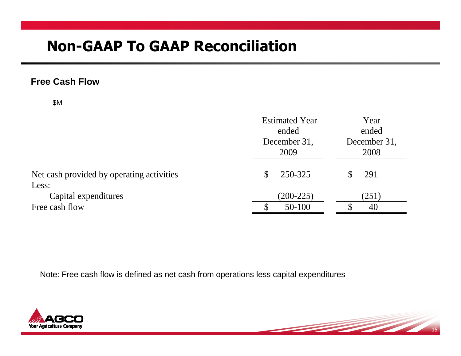#### **Free Cash Flow**

\$M

|                                           | <b>Estimated Year</b><br>ended<br>December 31,<br>2009 | Year<br>ended<br>December 31,<br>2008 |  |
|-------------------------------------------|--------------------------------------------------------|---------------------------------------|--|
| Net cash provided by operating activities | 250-325                                                | 291                                   |  |
| Less:                                     |                                                        |                                       |  |
| Capital expenditures                      | $(200-225)$                                            | (251)                                 |  |
| Free cash flow                            | 50-100                                                 | 40                                    |  |

15

<u> Santa Carlos de Carlos de Carlos de Carlos de Carlos de Carlos de Carlos de Carlos de Carlos de Carlos de Ca</u>

Note: Free cash flow is defined as net cash from operations less capital expenditures

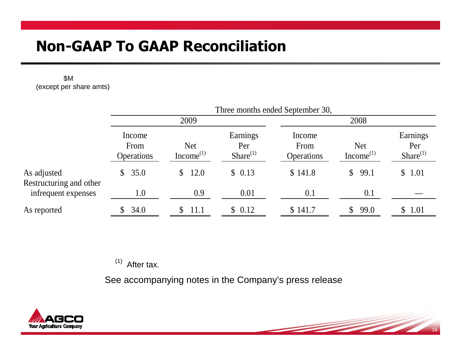#### \$M (except per share amts)

|                                        | Three months ended September 30,    |                                     |                                   |                                     |                                     |                                   |
|----------------------------------------|-------------------------------------|-------------------------------------|-----------------------------------|-------------------------------------|-------------------------------------|-----------------------------------|
|                                        | 2009                                |                                     |                                   | 2008                                |                                     |                                   |
|                                        | Income<br>From<br><b>Operations</b> | <b>Net</b><br>Income <sup>(1)</sup> | Earnings<br>Per<br>Share $^{(1)}$ | Income<br>From<br><b>Operations</b> | <b>Net</b><br>Income <sup>(1)</sup> | Earnings<br>Per<br>Share $^{(1)}$ |
| As adjusted<br>Restructuring and other | \$35.0                              | 12.0<br>$\mathbb{S}$                | \$0.13                            | \$141.8                             | 99.1<br>$\mathbb{S}^-$              | \$1.01                            |
| infrequent expenses                    | 1.0                                 | 0.9                                 | 0.01                              | 0.1                                 | 0.1                                 |                                   |
| As reported                            | \$34.0                              | 11.1<br>S.                          | \$0.12                            | \$141.7                             | 99.0<br>$\mathbb{S}$                | \$ 1.01                           |

 $(1)$  After tax.

See accompanying notes in the Company's press release



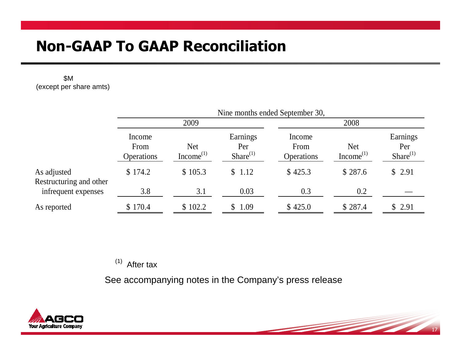#### \$M (except per share amts)

|                                        | Nine months ended September 30,     |                               |                                   |                                     |                               |                                   |  |
|----------------------------------------|-------------------------------------|-------------------------------|-----------------------------------|-------------------------------------|-------------------------------|-----------------------------------|--|
|                                        | 2009                                |                               |                                   |                                     | 2008                          |                                   |  |
|                                        | Income<br>From<br><b>Operations</b> | <b>Net</b><br>Income $^{(1)}$ | Earnings<br>Per<br>Share $^{(1)}$ | Income<br>From<br><b>Operations</b> | <b>Net</b><br>Income $^{(1)}$ | Earnings<br>Per<br>Share $^{(1)}$ |  |
| As adjusted<br>Restructuring and other | \$174.2                             | \$105.3                       | \$1.12                            | \$425.3                             | \$287.6                       | \$2.91                            |  |
| infrequent expenses                    | 3.8                                 | 3.1                           | 0.03                              | 0.3                                 | 0.2                           |                                   |  |
| As reported                            | \$170.4                             | \$102.2                       | \$1.09                            | \$425.0                             | \$287.4                       | \$2.91                            |  |

 $(1)$  After tax

See accompanying notes in the Company's press release